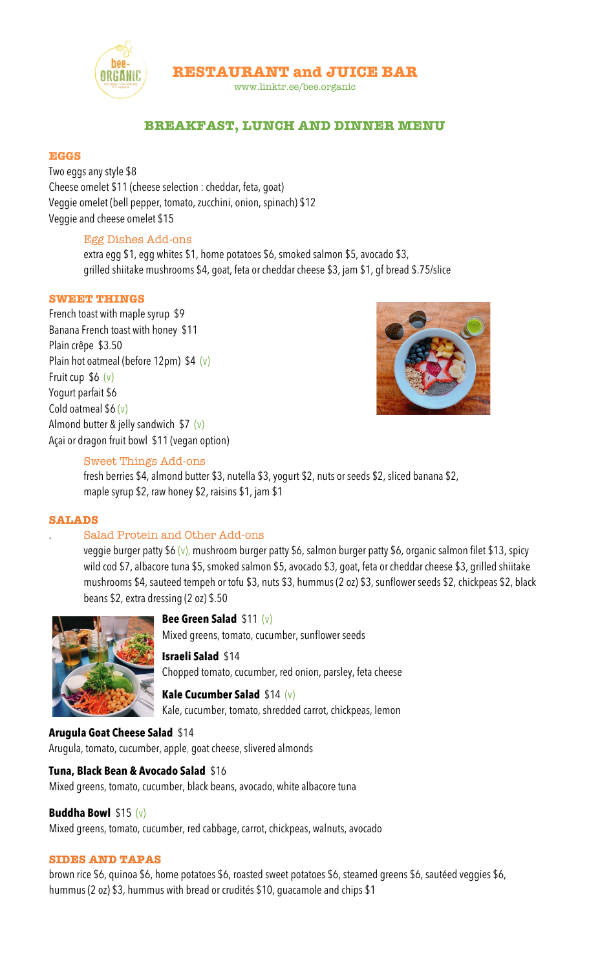

**RESTAURANT and JUICE BAR**

www.linktr.ee/bee.organic

# **BREAKFAST, LUNCH AND DINNER MENU**

#### **EGGS**

Two eggs any style \$8 Cheese omelet \$11 (cheese selection : cheddar, feta, goat) Veggie omelet (bell pepper, tomato, zucchini, onion, spinach) \$12 Veggie and cheese omelet \$15

## Egg Dishes Add-ons

extra egg \$1, egg whites \$1, home potatoes \$6, smoked salmon \$5, avocado \$3, grilled shiitake mushrooms \$4, goat, feta or cheddar cheese \$3, jam \$1, gf bread \$.75/slice

## **SWEET THINGS**

French toast with maple syrup \$9 Banana French toast with honey \$11 Plain crêpe \$3.50 Plain hot oatmeal (before 12pm) \$4 (v) Fruit cup \$6 (v) Yogurt parfait \$6 Cold oatmeal  $$6 (v)$ Almond butter & jelly sandwich  $$7$  (v) Açai or dragon fruit bowl \$11 (vegan option)



## Sweet Things Add-ons

fresh berries \$4, almond butter \$3, nutella \$3, yogurt \$2, nuts or seeds \$2, sliced banana \$2, maple syrup \$2, raw honey \$2, raisins \$1, jam \$1

#### **SALADS**

## . Salad Protein and Other Add-ons

veggie burger patty \$6 (v), mushroom burger patty \$6, salmon burger patty \$6, organic salmon filet \$13, spicy wild cod \$7, albacore tuna \$5, smoked salmon \$5, avocado \$3, goat, feta or cheddar cheese \$3, grilled shiitake mushrooms \$4, sauteed tempeh or tofu \$3, nuts \$3, hummus (2 oz) \$3, sunflower seeds \$2, chickpeas \$2, black beans \$2, extra dressing (2 oz) \$.50



#### **Bee Green Salad** \$11 (v)

Mixed greens, tomato, cucumber, sunflower seeds

#### **Israeli Salad** \$14

Chopped tomato, cucumber, red onion, parsley, feta cheese

**Kale Cucumber Salad** \$14 (v) Kale, cucumber, tomato, shredded carrot, chickpeas, lemon

#### **Arugula Goat Cheese Salad** \$14

Arugula, tomato, cucumber, apple, goat cheese, slivered almonds

## **Tuna, Black Bean & Avocado Salad** \$16

Mixed greens, tomato, cucumber, black beans, avocado, white albacore tuna

# **Buddha Bowl** \$15 (v)

Mixed greens, tomato, cucumber, red cabbage, carrot, chickpeas, walnuts, avocado

## **SIDES AND TAPAS**

brown rice \$6, quinoa \$6, home potatoes \$6, roasted sweet potatoes \$6, steamed greens \$6, sautéed veggies \$6, hummus (2 oz) \$3, hummus with bread or crudités \$10, guacamole and chips \$1